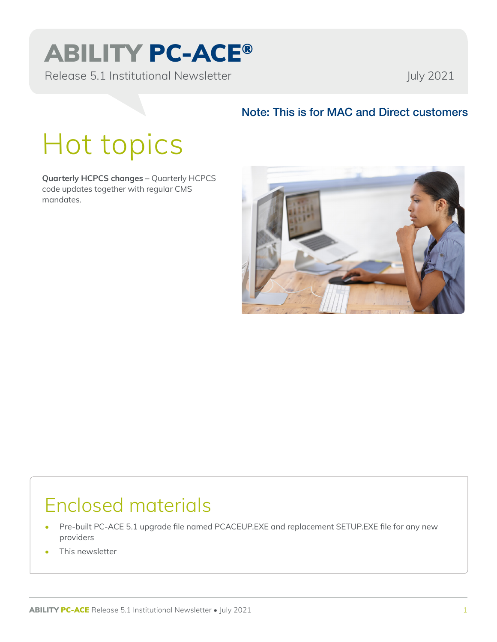# ABILITY PC-ACE®

Release 5.1 Institutional Newsletter And Tuly 2021

#### Note: This is for MAC and Direct customers

# Hot topics

**Quarterly HCPCS changes –** Quarterly HCPCS code updates together with regular CMS mandates.



### Enclosed materials

- Pre-built PC-ACE 5.1 upgrade file named PCACEUP.EXE and replacement SETUP.EXE file for any new providers
- This newsletter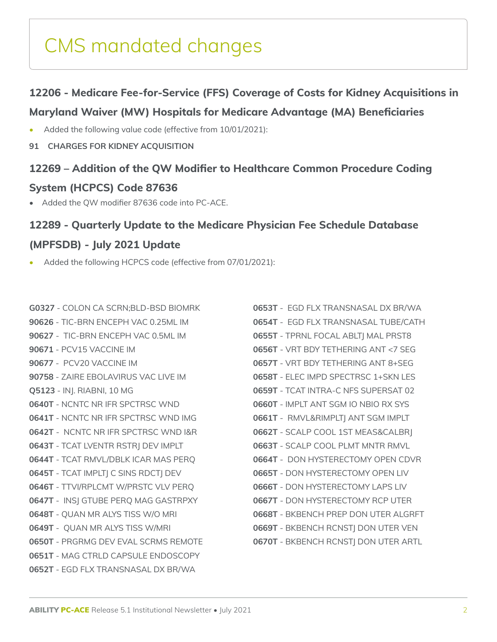### CMS mandated changes

#### **12206 - Medicare Fee-for-Service (FFS) Coverage of Costs for Kidney Acquisitions in**

#### **Maryland Waiver (MW) Hospitals for Medicare Advantage (MA) Beneficiaries**

- Added the following value code (effective from 10/01/2021):
- **91 CHARGES FOR KIDNEY ACQUISITION**

#### **12269 – Addition of the QW Modifier to Healthcare Common Procedure Coding**

#### **System (HCPCS) Code 87636**

• Added the QW modifier 87636 code into PC-ACE.

#### **12289 - Quarterly Update to the Medicare Physician Fee Schedule Database**

#### **(MPFSDB) - July 2021 Update**

• Added the following HCPCS code (effective from 07/01/2021):

**G0327** - COLON CA SCRN;BLD-BSD BIOMRK **90626** - TIC-BRN ENCEPH VAC 0.25ML IM **90627** - TIC-BRN ENCEPH VAC 0.5ML IM **90671** - PCV15 VACCINE IM **90677** - PCV20 VACCINE IM **90758** - ZAIRE EBOLAVIRUS VAC LIVE IM **Q5123** - INJ. RIABNI, 10 MG **0640T** - NCNTC NR IFR SPCTRSC WND **0641T** - NCNTC NR IFR SPCTRSC WND IMG **0642T** - NCNTC NR IFR SPCTRSC WND I&R **0643T** - TCAT LVENTR RSTRJ DEV IMPLT **0644T** - TCAT RMVL/DBLK ICAR MAS PERQ **0645T** - TCAT IMPLTJ C SINS RDCTJ DEV **0646T** - TTVI/RPLCMT W/PRSTC VLV PERQ **0647T** - INSJ GTUBE PERQ MAG GASTRPXY **0648T** - QUAN MR ALYS TISS W/O MRI **0649T** - QUAN MR ALYS TISS W/MRI **0650T** - PRGRMG DEV EVAL SCRMS REMOTE **0651T** - MAG CTRLD CAPSULE ENDOSCOPY **0652T** - EGD FLX TRANSNASAL DX BR/WA

**0653T** - EGD FLX TRANSNASAL DX BR/WA **0654T** - EGD FLX TRANSNASAL TUBE/CATH **0655T** - TPRNL FOCAL ABLTJ MAL PRST8 **0656T** - VRT BDY TETHERING ANT <7 SEG **0657T** - VRT BDY TETHERING ANT 8+SEG **0658T** - ELEC IMPD SPECTRSC 1+SKN LES **0659T** - TCAT INTRA-C NFS SUPERSAT 02 **0660T** - IMPLT ANT SGM IO NBIO RX SYS **0661T** - RMVL&RIMPLTJ ANT SGM IMPLT **0662T** - SCALP COOL 1ST MEAS&CALBRJ **0663T** - SCALP COOL PLMT MNTR RMVL **0664T** - DON HYSTERECTOMY OPEN CDVR **0665T** - DON HYSTERECTOMY OPEN LIV **0666T** - DON HYSTERECTOMY LAPS LIV **0667T** - DON HYSTERECTOMY RCP UTER **0668T** - BKBENCH PREP DON UTER ALGRFT **0669T** - BKBENCH RCNSTJ DON UTER VEN **0670T** - BKBENCH RCNSTJ DON UTER ARTL